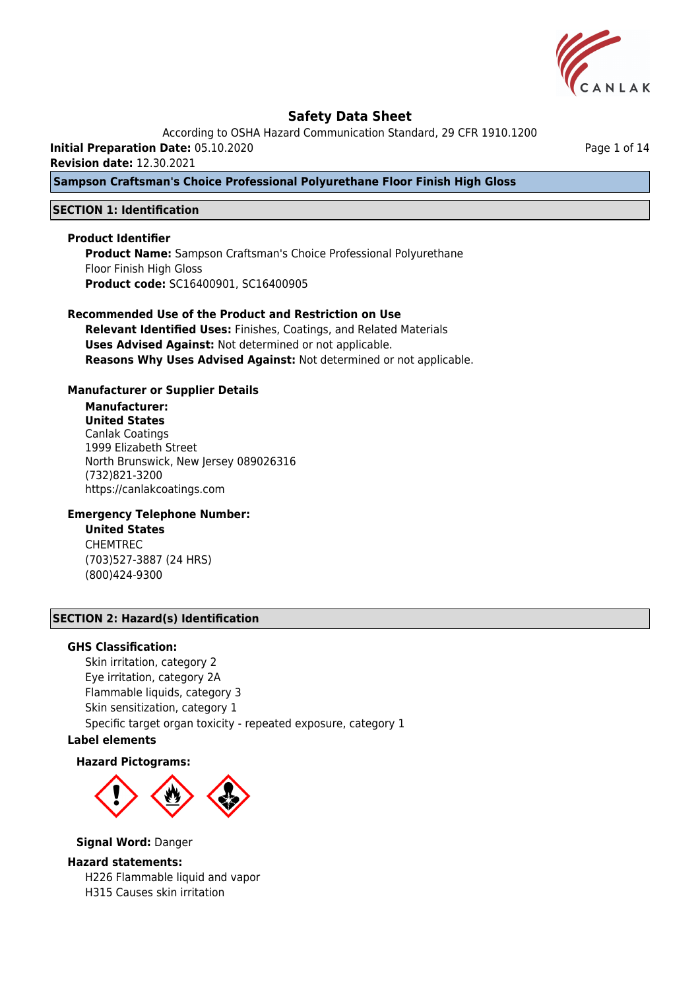

According to OSHA Hazard Communication Standard, 29 CFR 1910.1200

**Initial Preparation Date:** 05.10.2020

**Revision date:** 12.30.2021

**Sampson Craftsman's Choice Professional Polyurethane Floor Finish High Gloss**

## **SECTION 1: Identification**

#### **Product Identifier**

**Product Name:** Sampson Craftsman's Choice Professional Polyurethane Floor Finish High Gloss **Product code:** SC16400901, SC16400905

## **Recommended Use of the Product and Restriction on Use**

**Relevant Identified Uses:** Finishes, Coatings, and Related Materials **Uses Advised Against:** Not determined or not applicable. **Reasons Why Uses Advised Against:** Not determined or not applicable.

#### **Manufacturer or Supplier Details**

## **Manufacturer:**

**United States** Canlak Coatings 1999 Elizabeth Street North Brunswick, New Jersey 089026316 (732)821-3200 https://canlakcoatings.com

## **Emergency Telephone Number:**

**United States** CHEMTREC (703)527-3887 (24 HRS) (800)424-9300

## **SECTION 2: Hazard(s) Identification**

#### **GHS Classification:**

Skin irritation, category 2 Eye irritation, category 2A Flammable liquids, category 3 Skin sensitization, category 1 Specific target organ toxicity - repeated exposure, category 1

## **Label elements**

#### **Hazard Pictograms:**



#### **Signal Word:** Danger

## **Hazard statements:** H226 Flammable liquid and vapor H315 Causes skin irritation

Page 1 of 14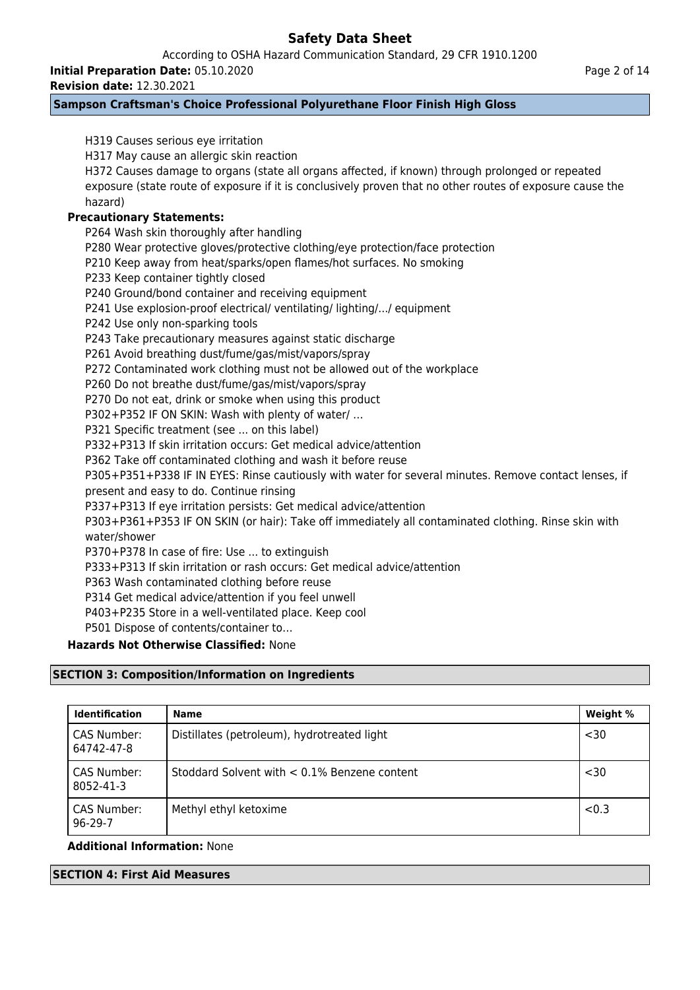According to OSHA Hazard Communication Standard, 29 CFR 1910.1200

**Initial Preparation Date:** 05.10.2020

**Revision date:** 12.30.2021

## **Sampson Craftsman's Choice Professional Polyurethane Floor Finish High Gloss**

H319 Causes serious eye irritation H317 May cause an allergic skin reaction H372 Causes damage to organs (state all organs affected, if known) through prolonged or repeated exposure (state route of exposure if it is conclusively proven that no other routes of exposure cause the hazard) **Precautionary Statements:** P264 Wash skin thoroughly after handling P280 Wear protective gloves/protective clothing/eye protection/face protection P210 Keep away from heat/sparks/open flames/hot surfaces. No smoking P233 Keep container tightly closed P240 Ground/bond container and receiving equipment P241 Use explosion-proof electrical/ ventilating/ lighting/.../ equipment P242 Use only non-sparking tools P243 Take precautionary measures against static discharge P261 Avoid breathing dust/fume/gas/mist/vapors/spray P272 Contaminated work clothing must not be allowed out of the workplace P260 Do not breathe dust/fume/gas/mist/vapors/spray P270 Do not eat, drink or smoke when using this product P302+P352 IF ON SKIN: Wash with plenty of water/ … P321 Specific treatment (see ... on this label) P332+P313 If skin irritation occurs: Get medical advice/attention P362 Take off contaminated clothing and wash it before reuse P305+P351+P338 IF IN EYES: Rinse cautiously with water for several minutes. Remove contact lenses, if present and easy to do. Continue rinsing P337+P313 If eye irritation persists: Get medical advice/attention P303+P361+P353 IF ON SKIN (or hair): Take off immediately all contaminated clothing. Rinse skin with water/shower P370+P378 In case of fire: Use ... to extinguish P333+P313 If skin irritation or rash occurs: Get medical advice/attention P363 Wash contaminated clothing before reuse P314 Get medical advice/attention if you feel unwell P403+P235 Store in a well-ventilated place. Keep cool P501 Dispose of contents/container to… **Hazards Not Otherwise Classified:** None **SECTION 3: Composition/Information on Ingredients Identification Name Name Research 2018** CAS Number: 64742-47-8 Distillates (petroleum), hydrotreated light <30 CAS Number: 8052-41-3 Stoddard Solvent with < 0.1% Benzene content  $\sim$  1 < 30 CAS Number: 96-29-7 Methyl ethyl ketoxime  $\vert$  <0.3

## **Additional Information:** None

## **SECTION 4: First Aid Measures**

Page 2 of 14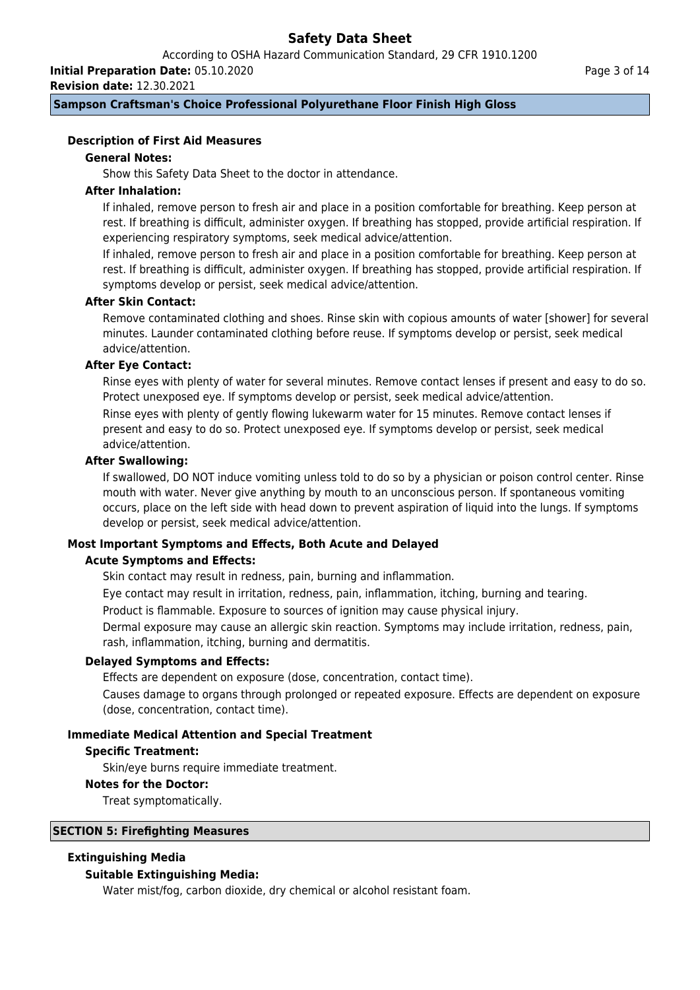According to OSHA Hazard Communication Standard, 29 CFR 1910.1200

**Initial Preparation Date:** 05.10.2020

**Revision date:** 12.30.2021

**Sampson Craftsman's Choice Professional Polyurethane Floor Finish High Gloss**

## **Description of First Aid Measures**

## **General Notes:**

Show this Safety Data Sheet to the doctor in attendance.

## **After Inhalation:**

If inhaled, remove person to fresh air and place in a position comfortable for breathing. Keep person at rest. If breathing is difficult, administer oxygen. If breathing has stopped, provide artificial respiration. If experiencing respiratory symptoms, seek medical advice/attention.

If inhaled, remove person to fresh air and place in a position comfortable for breathing. Keep person at rest. If breathing is difficult, administer oxygen. If breathing has stopped, provide artificial respiration. If symptoms develop or persist, seek medical advice/attention.

## **After Skin Contact:**

Remove contaminated clothing and shoes. Rinse skin with copious amounts of water [shower] for several minutes. Launder contaminated clothing before reuse. If symptoms develop or persist, seek medical advice/attention.

## **After Eye Contact:**

Rinse eyes with plenty of water for several minutes. Remove contact lenses if present and easy to do so. Protect unexposed eye. If symptoms develop or persist, seek medical advice/attention.

Rinse eyes with plenty of gently flowing lukewarm water for 15 minutes. Remove contact lenses if present and easy to do so. Protect unexposed eye. If symptoms develop or persist, seek medical advice/attention.

## **After Swallowing:**

If swallowed, DO NOT induce vomiting unless told to do so by a physician or poison control center. Rinse mouth with water. Never give anything by mouth to an unconscious person. If spontaneous vomiting occurs, place on the left side with head down to prevent aspiration of liquid into the lungs. If symptoms develop or persist, seek medical advice/attention.

# **Most Important Symptoms and Effects, Both Acute and Delayed**

## **Acute Symptoms and Effects:**

Skin contact may result in redness, pain, burning and inflammation.

Eye contact may result in irritation, redness, pain, inflammation, itching, burning and tearing.

Product is flammable. Exposure to sources of ignition may cause physical injury.

Dermal exposure may cause an allergic skin reaction. Symptoms may include irritation, redness, pain, rash, inflammation, itching, burning and dermatitis.

## **Delayed Symptoms and Effects:**

Effects are dependent on exposure (dose, concentration, contact time).

Causes damage to organs through prolonged or repeated exposure. Effects are dependent on exposure (dose, concentration, contact time).

## **Immediate Medical Attention and Special Treatment**

## **Specific Treatment:**

Skin/eye burns require immediate treatment.

## **Notes for the Doctor:**

Treat symptomatically.

## **SECTION 5: Firefighting Measures**

## **Extinguishing Media**

## **Suitable Extinguishing Media:**

Water mist/fog, carbon dioxide, dry chemical or alcohol resistant foam.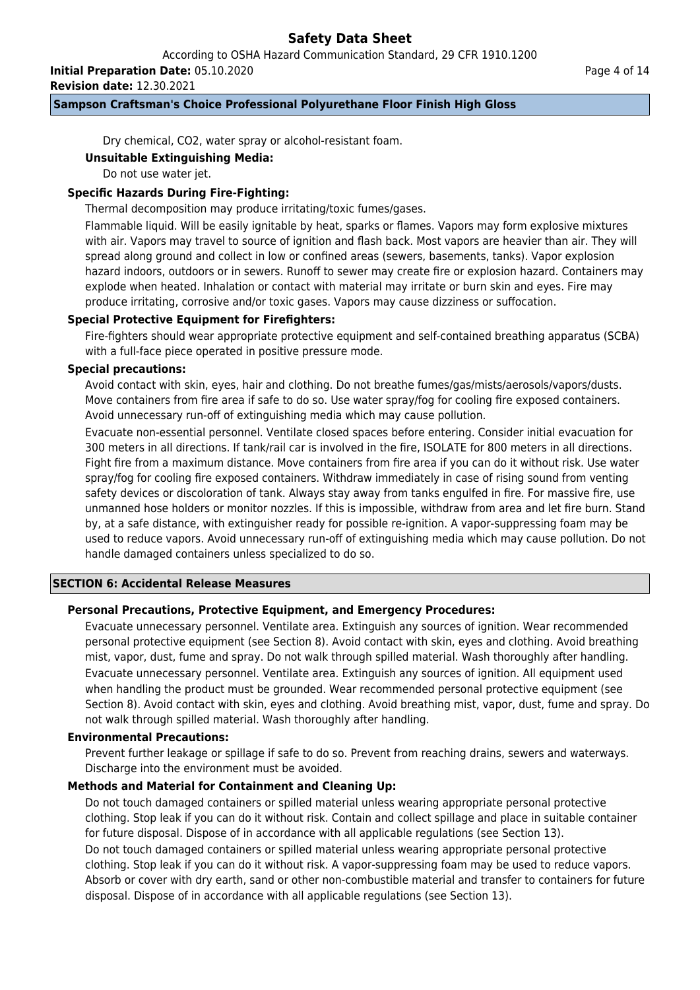According to OSHA Hazard Communication Standard, 29 CFR 1910.1200

**Initial Preparation Date:** 05.10.2020

**Revision date:** 12.30.2021

## **Sampson Craftsman's Choice Professional Polyurethane Floor Finish High Gloss**

Dry chemical, CO2, water spray or alcohol-resistant foam.

## **Unsuitable Extinguishing Media:**

Do not use water jet.

## **Specific Hazards During Fire-Fighting:**

Thermal decomposition may produce irritating/toxic fumes/gases.

Flammable liquid. Will be easily ignitable by heat, sparks or flames. Vapors may form explosive mixtures with air. Vapors may travel to source of ignition and flash back. Most vapors are heavier than air. They will spread along ground and collect in low or confined areas (sewers, basements, tanks). Vapor explosion hazard indoors, outdoors or in sewers. Runoff to sewer may create fire or explosion hazard. Containers may explode when heated. Inhalation or contact with material may irritate or burn skin and eyes. Fire may produce irritating, corrosive and/or toxic gases. Vapors may cause dizziness or suffocation.

## **Special Protective Equipment for Firefighters:**

Fire-fighters should wear appropriate protective equipment and self-contained breathing apparatus (SCBA) with a full-face piece operated in positive pressure mode.

## **Special precautions:**

Avoid contact with skin, eyes, hair and clothing. Do not breathe fumes/gas/mists/aerosols/vapors/dusts. Move containers from fire area if safe to do so. Use water spray/fog for cooling fire exposed containers. Avoid unnecessary run-off of extinguishing media which may cause pollution.

Evacuate non-essential personnel. Ventilate closed spaces before entering. Consider initial evacuation for 300 meters in all directions. If tank/rail car is involved in the fire, ISOLATE for 800 meters in all directions. Fight fire from a maximum distance. Move containers from fire area if you can do it without risk. Use water spray/fog for cooling fire exposed containers. Withdraw immediately in case of rising sound from venting safety devices or discoloration of tank. Always stay away from tanks engulfed in fire. For massive fire, use unmanned hose holders or monitor nozzles. If this is impossible, withdraw from area and let fire burn. Stand by, at a safe distance, with extinguisher ready for possible re-ignition. A vapor-suppressing foam may be used to reduce vapors. Avoid unnecessary run-off of extinguishing media which may cause pollution. Do not handle damaged containers unless specialized to do so.

## **SECTION 6: Accidental Release Measures**

## **Personal Precautions, Protective Equipment, and Emergency Procedures:**

Evacuate unnecessary personnel. Ventilate area. Extinguish any sources of ignition. Wear recommended personal protective equipment (see Section 8). Avoid contact with skin, eyes and clothing. Avoid breathing mist, vapor, dust, fume and spray. Do not walk through spilled material. Wash thoroughly after handling. Evacuate unnecessary personnel. Ventilate area. Extinguish any sources of ignition. All equipment used when handling the product must be grounded. Wear recommended personal protective equipment (see Section 8). Avoid contact with skin, eyes and clothing. Avoid breathing mist, vapor, dust, fume and spray. Do not walk through spilled material. Wash thoroughly after handling.

## **Environmental Precautions:**

Prevent further leakage or spillage if safe to do so. Prevent from reaching drains, sewers and waterways. Discharge into the environment must be avoided.

## **Methods and Material for Containment and Cleaning Up:**

Do not touch damaged containers or spilled material unless wearing appropriate personal protective clothing. Stop leak if you can do it without risk. Contain and collect spillage and place in suitable container for future disposal. Dispose of in accordance with all applicable regulations (see Section 13).

Do not touch damaged containers or spilled material unless wearing appropriate personal protective clothing. Stop leak if you can do it without risk. A vapor-suppressing foam may be used to reduce vapors. Absorb or cover with dry earth, sand or other non-combustible material and transfer to containers for future disposal. Dispose of in accordance with all applicable regulations (see Section 13).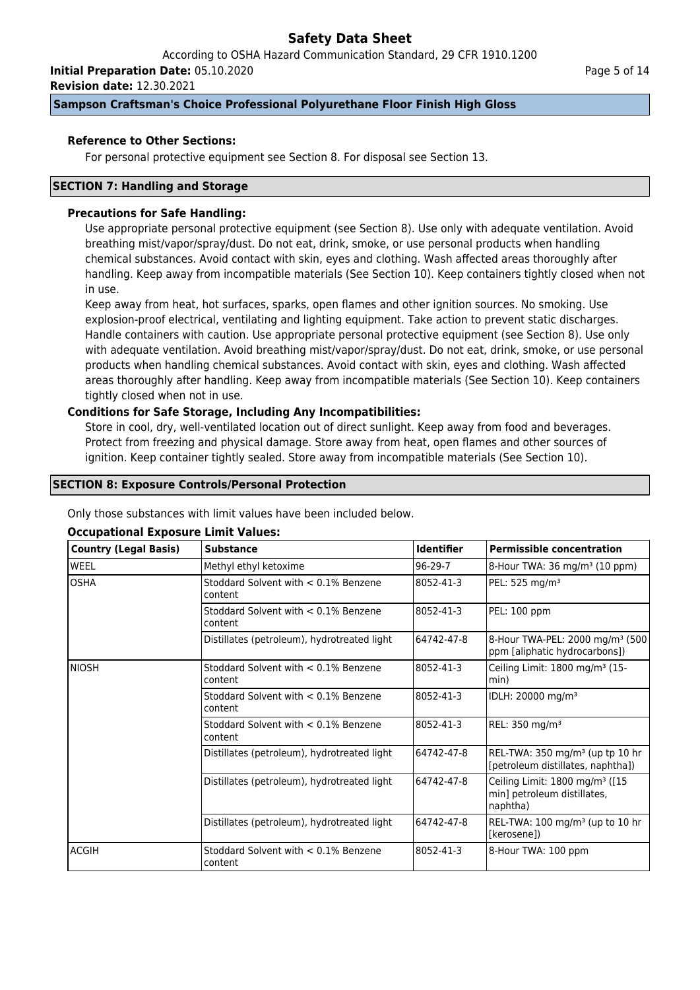According to OSHA Hazard Communication Standard, 29 CFR 1910.1200

**Initial Preparation Date:** 05.10.2020

**Revision date:** 12.30.2021

## **Sampson Craftsman's Choice Professional Polyurethane Floor Finish High Gloss**

## **Reference to Other Sections:**

For personal protective equipment see Section 8. For disposal see Section 13.

## **SECTION 7: Handling and Storage**

### **Precautions for Safe Handling:**

Use appropriate personal protective equipment (see Section 8). Use only with adequate ventilation. Avoid breathing mist/vapor/spray/dust. Do not eat, drink, smoke, or use personal products when handling chemical substances. Avoid contact with skin, eyes and clothing. Wash affected areas thoroughly after handling. Keep away from incompatible materials (See Section 10). Keep containers tightly closed when not in use.

Keep away from heat, hot surfaces, sparks, open flames and other ignition sources. No smoking. Use explosion-proof electrical, ventilating and lighting equipment. Take action to prevent static discharges. Handle containers with caution. Use appropriate personal protective equipment (see Section 8). Use only with adequate ventilation. Avoid breathing mist/vapor/spray/dust. Do not eat, drink, smoke, or use personal products when handling chemical substances. Avoid contact with skin, eyes and clothing. Wash affected areas thoroughly after handling. Keep away from incompatible materials (See Section 10). Keep containers tightly closed when not in use.

## **Conditions for Safe Storage, Including Any Incompatibilities:**

Store in cool, dry, well-ventilated location out of direct sunlight. Keep away from food and beverages. Protect from freezing and physical damage. Store away from heat, open flames and other sources of ignition. Keep container tightly sealed. Store away from incompatible materials (See Section 10).

#### **SECTION 8: Exposure Controls/Personal Protection**

Only those substances with limit values have been included below.

| <b>Country (Legal Basis)</b> | <b>Substance</b>                                   | <b>Identifier</b> | <b>Permissible concentration</b>                                                      |
|------------------------------|----------------------------------------------------|-------------------|---------------------------------------------------------------------------------------|
| <b>WEEL</b>                  | Methyl ethyl ketoxime                              | $96-29-7$         | 8-Hour TWA: $36 \text{ mg/m}^3$ (10 ppm)                                              |
| <b>OSHA</b>                  | Stoddard Solvent with $< 0.1\%$ Benzene<br>content | 8052-41-3         | PEL: 525 mg/m <sup>3</sup>                                                            |
|                              | Stoddard Solvent with $< 0.1\%$ Benzene<br>content | 8052-41-3         | PEL: 100 ppm                                                                          |
|                              | Distillates (petroleum), hydrotreated light        | 64742-47-8        | 8-Hour TWA-PEL: 2000 mg/m <sup>3</sup> (500)<br>ppm [aliphatic hydrocarbons])         |
| <b>NIOSH</b>                 | Stoddard Solvent with $< 0.1\%$ Benzene<br>content | 8052-41-3         | Ceiling Limit: 1800 mg/m <sup>3</sup> (15-<br>min)                                    |
|                              | Stoddard Solvent with < 0.1% Benzene<br>content    | 8052-41-3         | IDLH: 20000 mg/m <sup>3</sup>                                                         |
|                              | Stoddard Solvent with $< 0.1\%$ Benzene<br>content | 8052-41-3         | REL: 350 mg/m <sup>3</sup>                                                            |
|                              | Distillates (petroleum), hydrotreated light        | 64742-47-8        | REL-TWA: 350 mg/m <sup>3</sup> (up tp 10 hr<br>[petroleum distillates, naphtha])      |
|                              | Distillates (petroleum), hydrotreated light        | 64742-47-8        | Ceiling Limit: 1800 mg/m <sup>3</sup> ([15<br>min] petroleum distillates,<br>naphtha) |
|                              | Distillates (petroleum), hydrotreated light        | 64742-47-8        | REL-TWA: $100$ mg/m <sup>3</sup> (up to $10$ hr<br>[kerosene])                        |
| ACGIH                        | Stoddard Solvent with $< 0.1\%$ Benzene<br>content | 8052-41-3         | 8-Hour TWA: 100 ppm                                                                   |

## **Occupational Exposure Limit Values:**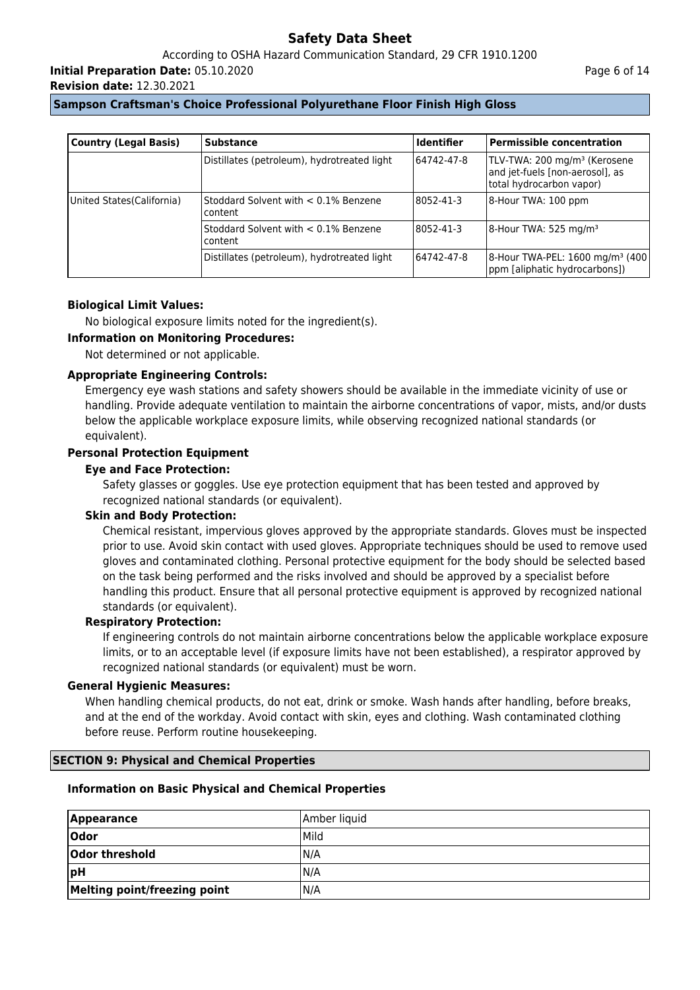According to OSHA Hazard Communication Standard, 29 CFR 1910.1200

**Initial Preparation Date:** 05.10.2020

**Revision date:** 12.30.2021

| <b>Country (Legal Basis)</b> | <b>Substance</b>                                   | <b>Identifier</b> | <b>Permissible concentration</b>                                                                        |
|------------------------------|----------------------------------------------------|-------------------|---------------------------------------------------------------------------------------------------------|
|                              | Distillates (petroleum), hydrotreated light        | 64742-47-8        | TLV-TWA: 200 mg/m <sup>3</sup> (Kerosene<br>and jet-fuels [non-aerosol], as<br>total hydrocarbon vapor) |
| United States (California)   | Stoddard Solvent with $< 0.1\%$ Benzene<br>content | 8052-41-3         | 8-Hour TWA: 100 ppm                                                                                     |
|                              | Stoddard Solvent with < 0.1% Benzene<br>content    | 8052-41-3         | 8-Hour TWA: 525 mg/m <sup>3</sup>                                                                       |
|                              | Distillates (petroleum), hydrotreated light        | 64742-47-8        | 8-Hour TWA-PEL: 1600 mg/m <sup>3</sup> (400)<br>ppm [aliphatic hydrocarbons])                           |

## **Biological Limit Values:**

No biological exposure limits noted for the ingredient(s).

## **Information on Monitoring Procedures:**

Not determined or not applicable.

## **Appropriate Engineering Controls:**

Emergency eye wash stations and safety showers should be available in the immediate vicinity of use or handling. Provide adequate ventilation to maintain the airborne concentrations of vapor, mists, and/or dusts below the applicable workplace exposure limits, while observing recognized national standards (or equivalent).

## **Personal Protection Equipment**

## **Eye and Face Protection:**

Safety glasses or goggles. Use eye protection equipment that has been tested and approved by recognized national standards (or equivalent).

## **Skin and Body Protection:**

Chemical resistant, impervious gloves approved by the appropriate standards. Gloves must be inspected prior to use. Avoid skin contact with used gloves. Appropriate techniques should be used to remove used gloves and contaminated clothing. Personal protective equipment for the body should be selected based on the task being performed and the risks involved and should be approved by a specialist before handling this product. Ensure that all personal protective equipment is approved by recognized national standards (or equivalent).

## **Respiratory Protection:**

If engineering controls do not maintain airborne concentrations below the applicable workplace exposure limits, or to an acceptable level (if exposure limits have not been established), a respirator approved by recognized national standards (or equivalent) must be worn.

## **General Hygienic Measures:**

When handling chemical products, do not eat, drink or smoke. Wash hands after handling, before breaks, and at the end of the workday. Avoid contact with skin, eyes and clothing. Wash contaminated clothing before reuse. Perform routine housekeeping.

## **SECTION 9: Physical and Chemical Properties**

## **Information on Basic Physical and Chemical Properties**

| <b>Appearance</b>            | Amber liquid |
|------------------------------|--------------|
| Odor                         | <b>Mild</b>  |
| Odor threshold               | N/A          |
| pH                           | N/A          |
| Melting point/freezing point | IN/A         |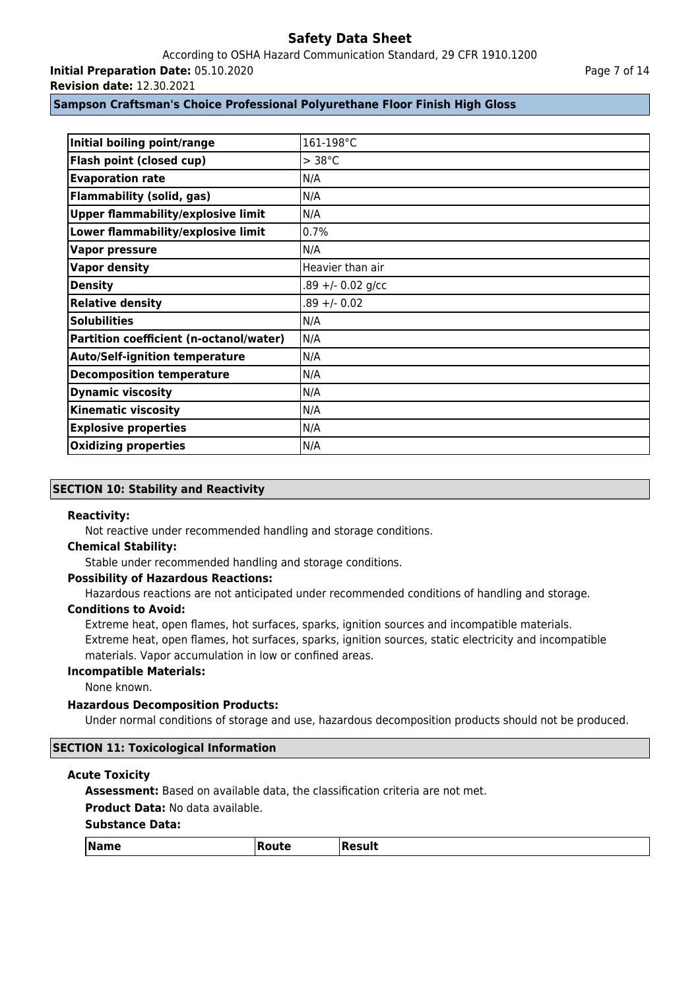According to OSHA Hazard Communication Standard, 29 CFR 1910.1200 **Initial Preparation Date:** 05.10.2020

**Revision date:** 12.30.2021

## **Sampson Craftsman's Choice Professional Polyurethane Floor Finish High Gloss**

| Initial boiling point/range               | 161-198°C           |
|-------------------------------------------|---------------------|
| Flash point (closed cup)                  | $> 38^{\circ}$ C    |
| <b>Evaporation rate</b>                   | N/A                 |
| <b>Flammability (solid, gas)</b>          | N/A                 |
| <b>Upper flammability/explosive limit</b> | N/A                 |
| Lower flammability/explosive limit        | 0.7%                |
| <b>Vapor pressure</b>                     | N/A                 |
| <b>Vapor density</b>                      | Heavier than air    |
| <b>Density</b>                            | $.89 +/- 0.02$ g/cc |
| <b>Relative density</b>                   | $.89 +/- 0.02$      |
| <b>Solubilities</b>                       | N/A                 |
| Partition coefficient (n-octanol/water)   | N/A                 |
| <b>Auto/Self-ignition temperature</b>     | N/A                 |
| <b>Decomposition temperature</b>          | N/A                 |
| <b>Dynamic viscosity</b>                  | N/A                 |
| <b>Kinematic viscosity</b>                | N/A                 |
| <b>Explosive properties</b>               | N/A                 |
| <b>Oxidizing properties</b>               | N/A                 |

## **SECTION 10: Stability and Reactivity**

#### **Reactivity:**

Not reactive under recommended handling and storage conditions.

## **Chemical Stability:**

Stable under recommended handling and storage conditions.

## **Possibility of Hazardous Reactions:**

Hazardous reactions are not anticipated under recommended conditions of handling and storage.

#### **Conditions to Avoid:**

Extreme heat, open flames, hot surfaces, sparks, ignition sources and incompatible materials. Extreme heat, open flames, hot surfaces, sparks, ignition sources, static electricity and incompatible materials. Vapor accumulation in low or confined areas.

#### **Incompatible Materials:**

None known.

## **Hazardous Decomposition Products:**

Under normal conditions of storage and use, hazardous decomposition products should not be produced.

#### **SECTION 11: Toxicological Information**

#### **Acute Toxicity**

**Assessment:** Based on available data, the classification criteria are not met.

## **Product Data:** No data available.

| <i><b>Name</b></i><br>esult<br> Route<br>. .<br>_____<br>$ -$ |
|---------------------------------------------------------------|
|---------------------------------------------------------------|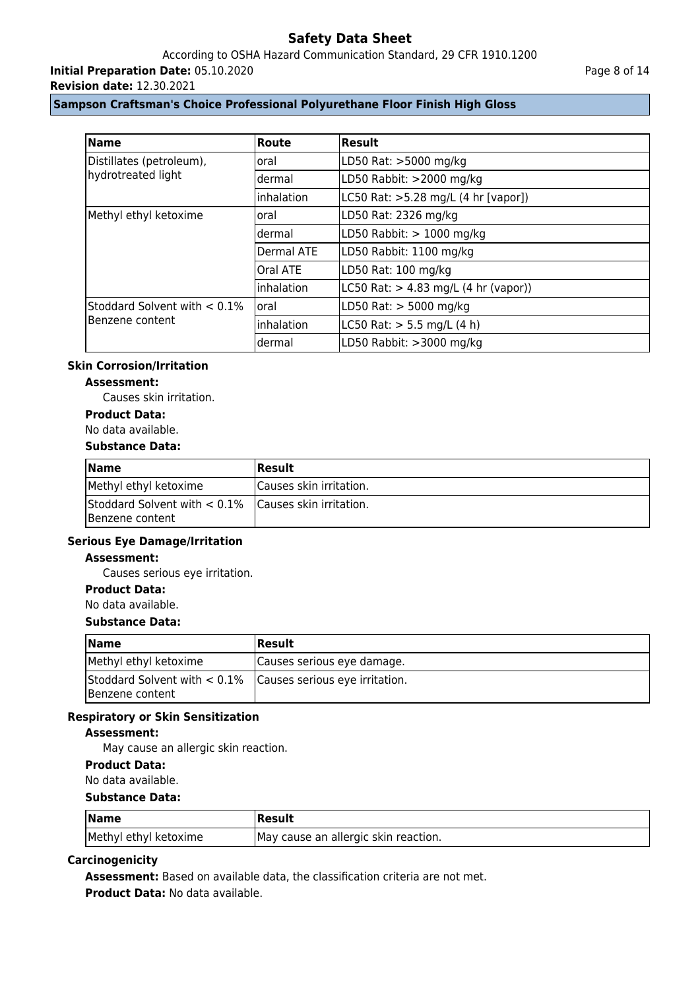According to OSHA Hazard Communication Standard, 29 CFR 1910.1200

**Initial Preparation Date:** 05.10.2020

**Revision date:** 12.30.2021

Page 8 of 14

## **Sampson Craftsman's Choice Professional Polyurethane Floor Finish High Gloss**

| <b>Name</b>                                    | Route       | Result                                 |
|------------------------------------------------|-------------|----------------------------------------|
| Distillates (petroleum),<br>hydrotreated light | oral        | LD50 Rat: >5000 mg/kg                  |
|                                                | dermal      | LD50 Rabbit: >2000 mg/kg               |
|                                                | linhalation | LC50 Rat: >5.28 mg/L (4 hr [vapor])    |
| Methyl ethyl ketoxime                          | oral        | LD50 Rat: 2326 mg/kg                   |
|                                                | Idermal     | LD50 Rabbit: $> 1000$ mg/kg            |
|                                                | Dermal ATE  | LD50 Rabbit: 1100 mg/kg                |
|                                                | Oral ATE    | LD50 Rat: 100 mg/kg                    |
|                                                | linhalation | LC50 Rat: $> 4.83$ mg/L (4 hr (vapor)) |
| Stoddard Solvent with $< 0.1\%$                | loral       | LD50 Rat: $>$ 5000 mg/kg               |
| Benzene content                                | inhalation  | LC50 Rat: $> 5.5$ mg/L (4 h)           |
|                                                | dermal      | LD50 Rabbit: >3000 mg/kg               |

#### **Skin Corrosion/Irritation**

## **Assessment:**

Causes skin irritation.

## **Product Data:**

### No data available.

## **Substance Data:**

| <b>Name</b>                                                             | <b> Result</b>          |
|-------------------------------------------------------------------------|-------------------------|
| Methyl ethyl ketoxime                                                   | Causes skin irritation. |
| Stoddard Solvent with < 0.1% Causes skin irritation.<br>Benzene content |                         |

## **Serious Eye Damage/Irritation**

#### **Assessment:**

Causes serious eye irritation.

## **Product Data:**

No data available.

#### **Substance Data:**

| <b>Name</b>                                                                         | Result                     |
|-------------------------------------------------------------------------------------|----------------------------|
| Methyl ethyl ketoxime                                                               | Causes serious eye damage. |
| Stoddard Solvent with $< 0.1\%$   Causes serious eye irritation.<br>Benzene content |                            |

## **Respiratory or Skin Sensitization**

#### **Assessment:**

May cause an allergic skin reaction.

## **Product Data:**

No data available.

#### **Substance Data:**

| <b>Name</b>           | Result                               |
|-----------------------|--------------------------------------|
| Methyl ethyl ketoxime | May cause an allergic skin reaction. |

#### **Carcinogenicity**

**Assessment:** Based on available data, the classification criteria are not met.

**Product Data:** No data available.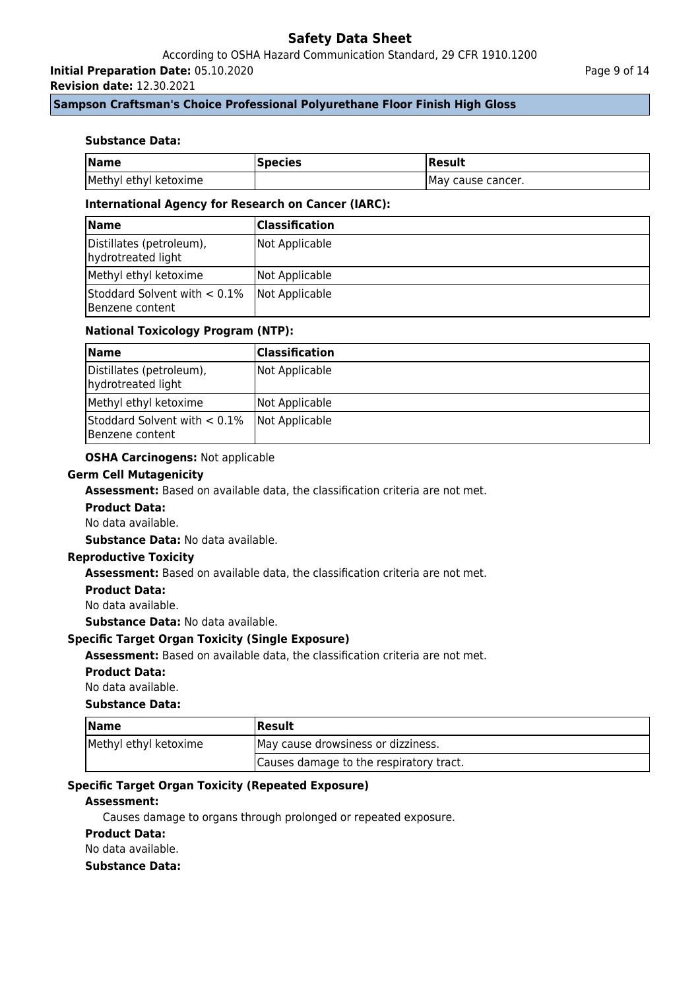According to OSHA Hazard Communication Standard, 29 CFR 1910.1200

**Initial Preparation Date:** 05.10.2020

**Revision date:** 12.30.2021

## **Sampson Craftsman's Choice Professional Polyurethane Floor Finish High Gloss**

### **Substance Data:**

| <b>Name</b>           | <b>Species</b> | Result             |
|-----------------------|----------------|--------------------|
| Methyl ethyl ketoxime |                | IMay cause cancer. |

#### **International Agency for Research on Cancer (IARC):**

| <b>Name</b>                                        | <b>Classification</b> |
|----------------------------------------------------|-----------------------|
| Distillates (petroleum),<br>hydrotreated light     | Not Applicable        |
| Methyl ethyl ketoxime                              | Not Applicable        |
| Stoddard Solvent with $< 0.1\%$<br>Benzene content | Not Applicable        |

## **National Toxicology Program (NTP):**

| $\blacksquare$                                     | <b>Classification</b> |
|----------------------------------------------------|-----------------------|
| Distillates (petroleum),<br>hydrotreated light     | Not Applicable        |
| Methyl ethyl ketoxime                              | Not Applicable        |
| Stoddard Solvent with $< 0.1\%$<br>Benzene content | Not Applicable        |

#### **OSHA Carcinogens:** Not applicable

#### **Germ Cell Mutagenicity**

**Assessment:** Based on available data, the classification criteria are not met.

#### **Product Data:**

No data available.

**Substance Data:** No data available.

#### **Reproductive Toxicity**

**Assessment:** Based on available data, the classification criteria are not met.

#### **Product Data:**

No data available.

**Substance Data:** No data available.

### **Specific Target Organ Toxicity (Single Exposure)**

**Assessment:** Based on available data, the classification criteria are not met.

#### **Product Data:**

No data available.

#### **Substance Data:**

| <b>Name</b>           | Result                                  |
|-----------------------|-----------------------------------------|
| Methyl ethyl ketoxime | May cause drowsiness or dizziness.      |
|                       | Causes damage to the respiratory tract. |

#### **Specific Target Organ Toxicity (Repeated Exposure)**

#### **Assessment:**

Causes damage to organs through prolonged or repeated exposure.

#### **Product Data:**

No data available.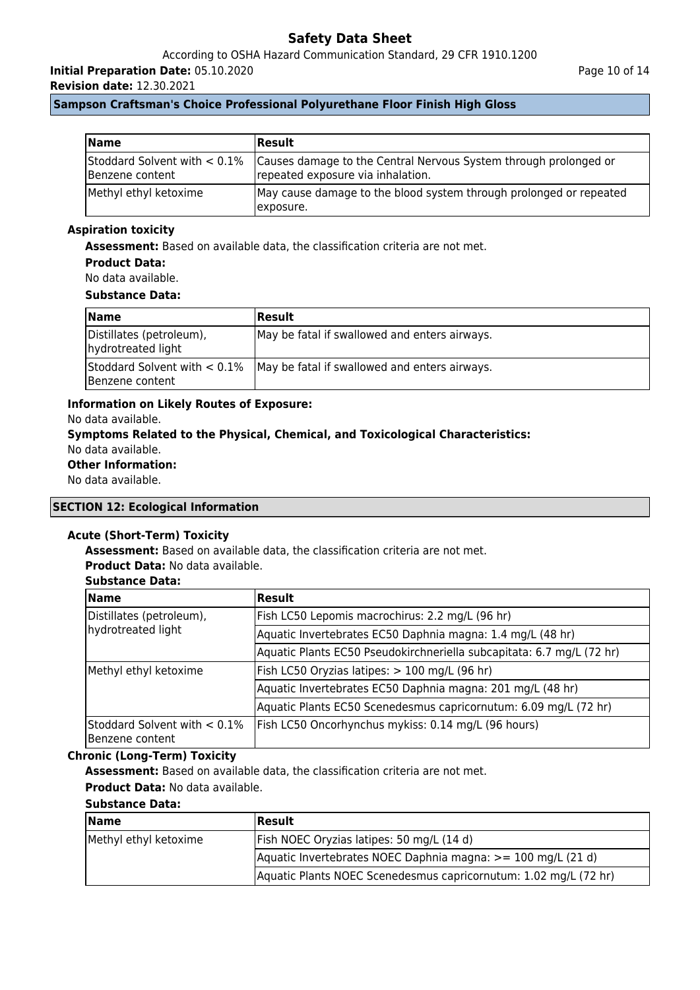According to OSHA Hazard Communication Standard, 29 CFR 1910.1200

**Initial Preparation Date:** 05.10.2020

**Revision date:** 12.30.2021

## **Sampson Craftsman's Choice Professional Polyurethane Floor Finish High Gloss**

| <b>Name</b>                                        | <b>Result</b>                                                                                         |
|----------------------------------------------------|-------------------------------------------------------------------------------------------------------|
| Stoddard Solvent with $< 0.1\%$<br>Benzene content | Causes damage to the Central Nervous System through prolonged or<br>repeated exposure via inhalation. |
| Methyl ethyl ketoxime                              | May cause damage to the blood system through prolonged or repeated<br>exposure.                       |

## **Aspiration toxicity**

**Assessment:** Based on available data, the classification criteria are not met.

#### **Product Data:**

No data available.

#### **Substance Data:**

| <b>Name</b>                                    | <b>Result</b>                                                                 |
|------------------------------------------------|-------------------------------------------------------------------------------|
| Distillates (petroleum),<br>hydrotreated light | May be fatal if swallowed and enters airways.                                 |
| Benzene content                                | Stoddard Solvent with $< 0.1\%$ May be fatal if swallowed and enters airways. |

## **Information on Likely Routes of Exposure:**

No data available.

# **Symptoms Related to the Physical, Chemical, and Toxicological Characteristics:**

No data available. **Other Information:**

# No data available.

## **SECTION 12: Ecological Information**

## **Acute (Short-Term) Toxicity**

**Assessment:** Based on available data, the classification criteria are not met.

**Product Data:** No data available.

## **Substance Data:**

| <b>Name</b>                                     | Result                                                                |
|-------------------------------------------------|-----------------------------------------------------------------------|
| Distillates (petroleum),<br>hydrotreated light  | Fish LC50 Lepomis macrochirus: 2.2 mg/L (96 hr)                       |
|                                                 | Aquatic Invertebrates EC50 Daphnia magna: 1.4 mg/L (48 hr)            |
|                                                 | Aquatic Plants EC50 Pseudokirchneriella subcapitata: 6.7 mg/L (72 hr) |
| Methyl ethyl ketoxime                           | Fish LC50 Oryzias latipes: > 100 mg/L (96 hr)                         |
|                                                 | Aquatic Invertebrates EC50 Daphnia magna: 201 mg/L (48 hr)            |
|                                                 | Aquatic Plants EC50 Scenedesmus capricornutum: 6.09 mg/L (72 hr)      |
| Stoddard Solvent with < 0.1%<br>Benzene content | Fish LC50 Oncorhynchus mykiss: 0.14 mg/L (96 hours)                   |

## **Chronic (Long-Term) Toxicity**

**Assessment:** Based on available data, the classification criteria are not met.

# **Product Data:** No data available.

| <b>Name</b>           | <b> Result</b>                                                   |
|-----------------------|------------------------------------------------------------------|
| Methyl ethyl ketoxime | Fish NOEC Oryzias latipes: 50 mg/L (14 d)                        |
|                       | Aquatic Invertebrates NOEC Daphnia magna: $>= 100$ mg/L (21 d)   |
|                       | Aquatic Plants NOEC Scenedesmus capricornutum: 1.02 mg/L (72 hr) |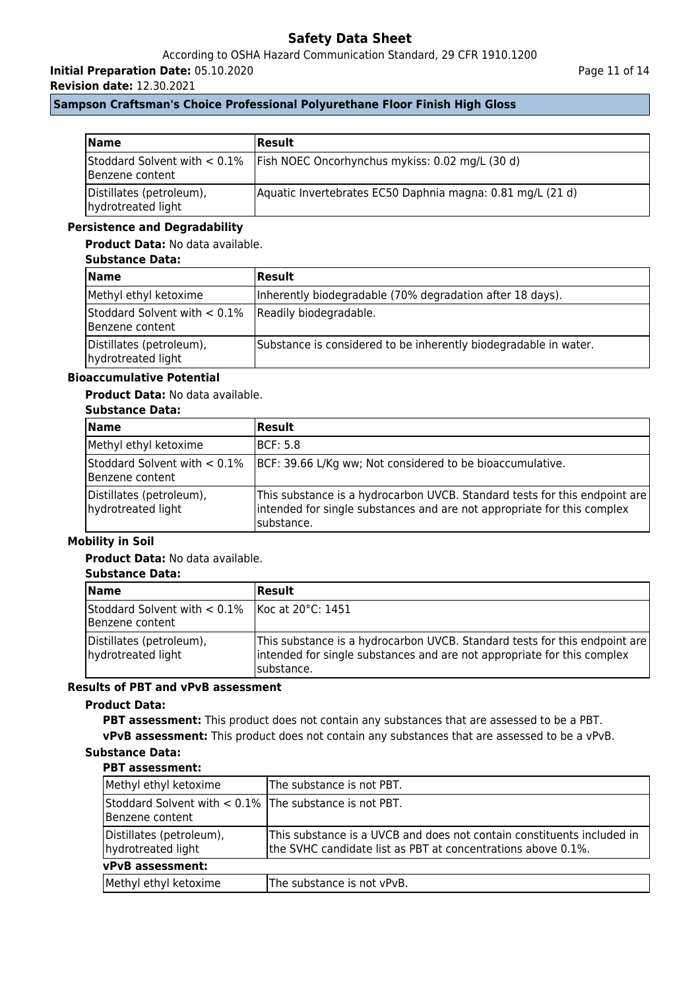## According to OSHA Hazard Communication Standard, 29 CFR 1910.1200

**Initial Preparation Date:** 05.10.2020

**Revision date:** 12.30.2021

Page 11 of 14

## **Sampson Craftsman's Choice Professional Polyurethane Floor Finish High Gloss**

| <b>Name</b>                                    | <b>Result</b>                                                                   |
|------------------------------------------------|---------------------------------------------------------------------------------|
| Benzene content                                | Stoddard Solvent with $< 0.1\%$ Fish NOEC Oncorhynchus mykiss: 0.02 mg/L (30 d) |
| Distillates (petroleum),<br>hydrotreated light | Aquatic Invertebrates EC50 Daphnia magna: 0.81 mg/L (21 d)                      |

## **Persistence and Degradability**

## **Product Data:** No data available.

## **Substance Data:**

| <b>Name</b>                                                               | Result                                                           |
|---------------------------------------------------------------------------|------------------------------------------------------------------|
| Methyl ethyl ketoxime                                                     | Inherently biodegradable (70% degradation after 18 days).        |
| Stoddard Solvent with $< 0.1\%$ Readily biodegradable.<br>Benzene content |                                                                  |
| Distillates (petroleum),<br>hydrotreated light                            | Substance is considered to be inherently biodegradable in water. |

## **Bioaccumulative Potential**

## **Product Data:** No data available.

## **Substance Data:**

| <b>Name</b>                                     | Result                                                                                                                                                              |
|-------------------------------------------------|---------------------------------------------------------------------------------------------------------------------------------------------------------------------|
| Methyl ethyl ketoxime                           | IBCF: 5.8                                                                                                                                                           |
| Stoddard Solvent with < 0.1%<br>Benzene content | BCF: 39.66 L/Kg ww; Not considered to be bioaccumulative.                                                                                                           |
| Distillates (petroleum),<br>hydrotreated light  | This substance is a hydrocarbon UVCB. Standard tests for this endpoint are<br>intended for single substances and are not appropriate for this complex<br>substance. |

## **Mobility in Soil**

## **Product Data:** No data available.

## **Substance Data:**

| <b>Name</b>                                                                       | Result                                                                                                                                                               |
|-----------------------------------------------------------------------------------|----------------------------------------------------------------------------------------------------------------------------------------------------------------------|
| Stoddard Solvent with $< 0.1\%$   Koc at 20 $^{\circ}$ C: 1451<br>Benzene content |                                                                                                                                                                      |
| Distillates (petroleum),<br>hydrotreated light                                    | This substance is a hydrocarbon UVCB. Standard tests for this endpoint are<br>intended for single substances and are not appropriate for this complex<br>Isubstance. |

## **Results of PBT and vPvB assessment**

#### **Product Data:**

**PBT assessment:** This product does not contain any substances that are assessed to be a PBT. **vPvB assessment:** This product does not contain any substances that are assessed to be a vPvB.

| Methyl ethyl ketoxime                                                        | The substance is not PBT.                                                                                                              |
|------------------------------------------------------------------------------|----------------------------------------------------------------------------------------------------------------------------------------|
| Stoddard Solvent with $< 0.1\%$ The substance is not PBT.<br>Benzene content |                                                                                                                                        |
| Distillates (petroleum),<br>hydrotreated light                               | This substance is a UVCB and does not contain constituents included in<br>the SVHC candidate list as PBT at concentrations above 0.1%. |
| vPvB assessment:                                                             |                                                                                                                                        |
| Methyl ethyl ketoxime                                                        | The substance is not vPvB.                                                                                                             |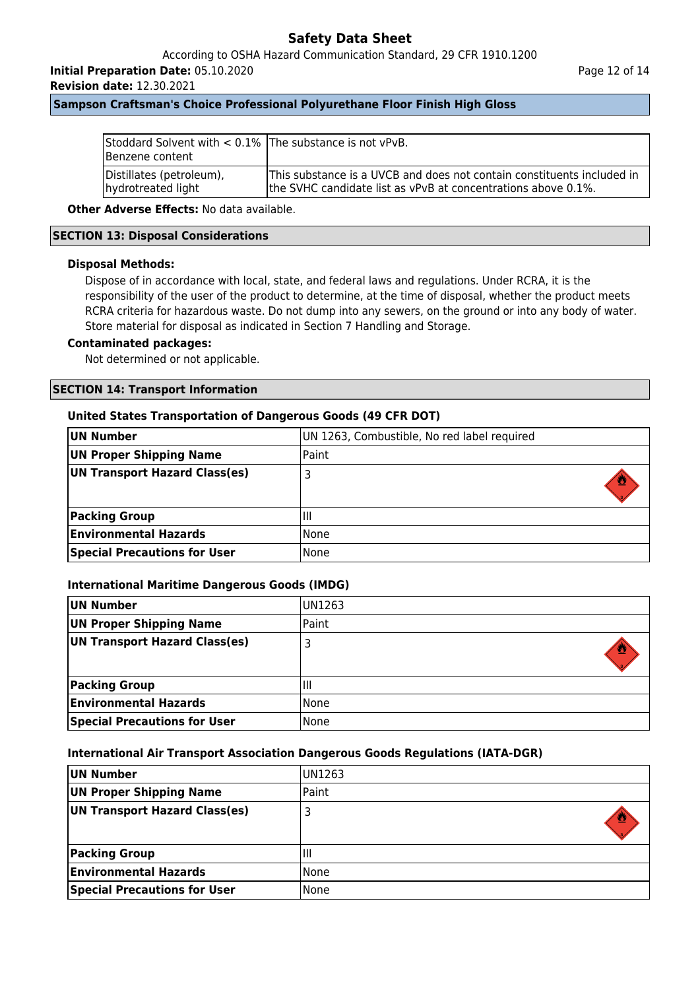According to OSHA Hazard Communication Standard, 29 CFR 1910.1200

**Initial Preparation Date:** 05.10.2020

**Revision date:** 12.30.2021

#### Page 12 of 14

## **Sampson Craftsman's Choice Professional Polyurethane Floor Finish High Gloss**

| Stoddard Solvent with $< 0.1\%$ The substance is not vPvB.<br>Benzene content |                                                                        |
|-------------------------------------------------------------------------------|------------------------------------------------------------------------|
| Distillates (petroleum),                                                      | This substance is a UVCB and does not contain constituents included in |
| hydrotreated light                                                            | the SVHC candidate list as vPvB at concentrations above 0.1%.          |

**Other Adverse Effects: No data available.** 

### **SECTION 13: Disposal Considerations**

### **Disposal Methods:**

Dispose of in accordance with local, state, and federal laws and regulations. Under RCRA, it is the responsibility of the user of the product to determine, at the time of disposal, whether the product meets RCRA criteria for hazardous waste. Do not dump into any sewers, on the ground or into any body of water. Store material for disposal as indicated in Section 7 Handling and Storage.

#### **Contaminated packages:**

Not determined or not applicable.

#### **SECTION 14: Transport Information**

#### **United States Transportation of Dangerous Goods (49 CFR DOT)**

| UN Number                           | UN 1263, Combustible, No red label required |
|-------------------------------------|---------------------------------------------|
| UN Proper Shipping Name             | Paint                                       |
| UN Transport Hazard Class(es)       |                                             |
|                                     |                                             |
| <b>Packing Group</b>                | Ш                                           |
| <b>Environmental Hazards</b>        | None                                        |
| <b>Special Precautions for User</b> | None                                        |

#### **International Maritime Dangerous Goods (IMDG)**

| UN Number                           | UN1263 |  |
|-------------------------------------|--------|--|
| <b>UN Proper Shipping Name</b>      | Paint  |  |
| UN Transport Hazard Class(es)       |        |  |
| <b>Packing Group</b>                | Ш      |  |
| <b>Environmental Hazards</b>        | None   |  |
| <b>Special Precautions for User</b> | None   |  |

#### **International Air Transport Association Dangerous Goods Regulations (IATA-DGR)**

| UN Number                           | IUN1263 |
|-------------------------------------|---------|
| UN Proper Shipping Name             | Paint   |
| UN Transport Hazard Class(es)       |         |
|                                     |         |
| <b>Packing Group</b>                | Ш       |
| <b>Environmental Hazards</b>        | None    |
| <b>Special Precautions for User</b> | None    |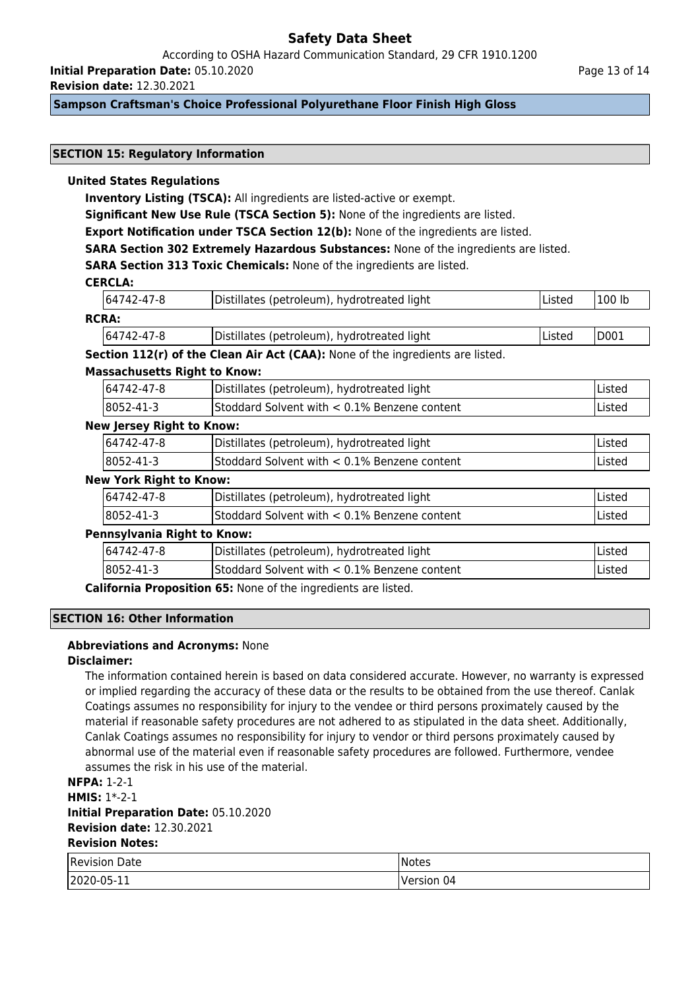According to OSHA Hazard Communication Standard, 29 CFR 1910.1200 **Initial Preparation Date:** 05.10.2020

**Revision date:** 12.30.2021

## **Sampson Craftsman's Choice Professional Polyurethane Floor Finish High Gloss**

### **SECTION 15: Regulatory Information**

### **United States Regulations**

**Inventory Listing (TSCA):** All ingredients are listed-active or exempt.

**Significant New Use Rule (TSCA Section 5):** None of the ingredients are listed.

**Export Notification under TSCA Section 12(b):** None of the ingredients are listed.

**SARA Section 302 Extremely Hazardous Substances:** None of the ingredients are listed.

**SARA Section 313 Toxic Chemicals:** None of the ingredients are listed.

## **CERCLA:**

|              | 64742-47-8 | Distillates (petroleum), hydrotreated light | lListed | 100 lb |
|--------------|------------|---------------------------------------------|---------|--------|
| <b>RCRA:</b> |            |                                             |         |        |

| 64742-47-8   | Distillates (petroleum), hydrotreated light | Listed | ID003 |
|--------------|---------------------------------------------|--------|-------|
| ------------ |                                             |        |       |

**Section 112(r) of the Clean Air Act (CAA):** None of the ingredients are listed.

#### **Massachusetts Right to Know:**

| 64742-47-8        | Distillates (petroleum), hydrotreated light      | lListed |
|-------------------|--------------------------------------------------|---------|
| $ 8052 - 41 - 3 $ | IStoddard Solvent with $< 0.1\%$ Benzene content | Listed  |

#### **New Jersey Right to Know:**

| 164742-47-8 | Distillates (petroleum), hydrotreated light     | lListed |
|-------------|-------------------------------------------------|---------|
| 8052-41-3   | Stoddard Solvent with $< 0.1\%$ Benzene content | Listed  |

#### **New York Right to Know:**

| 64742-47-8                  | Distillates (petroleum), hydrotreated light  | Listed |  |
|-----------------------------|----------------------------------------------|--------|--|
| 8052-41-3                   | Stoddard Solvent with < 0.1% Benzene content | Listed |  |
| Pennsylvania Right to Know: |                                              |        |  |
| 64742-47-8                  | Distillates (petroleum), hydrotreated light  | Listed |  |
|                             |                                              |        |  |

8052-41-3 Stoddard Solvent with < 0.1% Benzene content Listed

**California Proposition 65:** None of the ingredients are listed.

## **SECTION 16: Other Information**

#### **Abbreviations and Acronyms:** None

#### **Disclaimer:**

The information contained herein is based on data considered accurate. However, no warranty is expressed or implied regarding the accuracy of these data or the results to be obtained from the use thereof. Canlak Coatings assumes no responsibility for injury to the vendee or third persons proximately caused by the material if reasonable safety procedures are not adhered to as stipulated in the data sheet. Additionally, Canlak Coatings assumes no responsibility for injury to vendor or third persons proximately caused by abnormal use of the material even if reasonable safety procedures are followed. Furthermore, vendee assumes the risk in his use of the material.

**NFPA:** 1-2-1

**HMIS:** 1\*-2-1 **Initial Preparation Date:** 05.10.2020 **Revision date:** 12.30.2021 **Revision Notes:**

| Revision<br>Date | 'Notes        |
|------------------|---------------|
| 2020-05-11       | 04<br>Version |